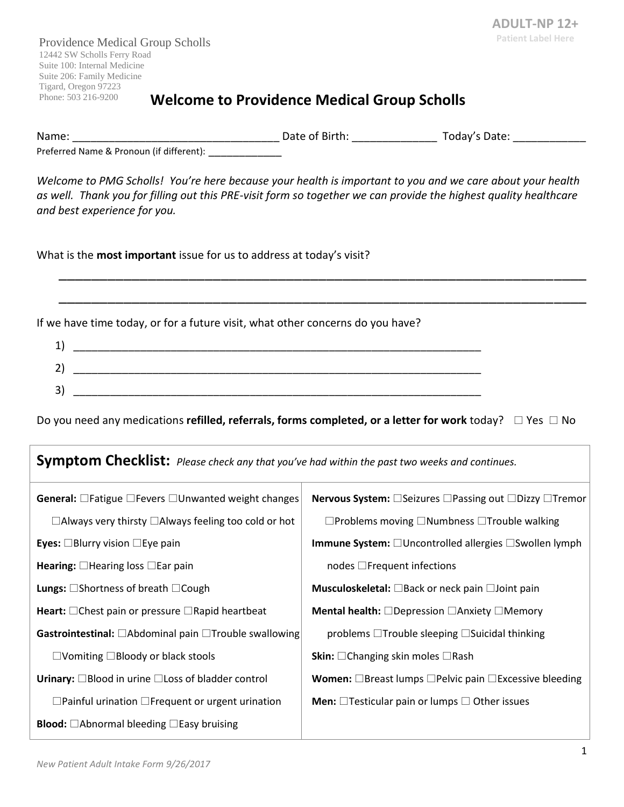Providence Medical Group Scholls 12442 SW Scholls Ferry Road Suite 100: Internal Medicine Suite 206: Family Medicine Tigard, Oregon 97223

### Phone: 503 216-9200 **Welcome to Providence Medical Group Scholls**

Name: \_\_\_\_\_\_\_\_\_\_\_\_\_\_\_\_\_\_\_\_\_\_\_\_\_\_\_\_\_\_\_\_\_\_ Date of Birth: \_\_\_\_\_\_\_\_\_\_\_\_\_\_ Today's Date: \_\_\_\_\_\_\_\_\_\_\_\_

Preferred Name & Pronoun (if different): \_\_\_\_\_\_\_\_\_\_\_\_\_

*Welcome to PMG Scholls! You're here because your health is important to you and we care about your health as well. Thank you for filling out this PRE-visit form so together we can provide the highest quality healthcare and best experience for you.* 

\_\_\_\_\_\_\_\_\_\_\_\_\_\_\_\_\_\_\_\_\_\_\_\_\_\_\_\_\_\_\_\_\_\_\_\_\_\_\_\_\_\_\_\_\_\_\_\_\_\_\_\_\_\_\_\_\_\_\_\_\_\_\_\_\_

\_\_\_\_\_\_\_\_\_\_\_\_\_\_\_\_\_\_\_\_\_\_\_\_\_\_\_\_\_\_\_\_\_\_\_\_\_\_\_\_\_\_\_\_\_\_\_\_\_\_\_\_\_\_\_\_\_\_\_\_\_\_\_\_\_

What is the **most important** issue for us to address at today's visit?

If we have time today, or for a future visit, what other concerns do you have?

| ∽<br>- |  |
|--------|--|
| 3      |  |

Do you need any medications **refilled, referrals, forms completed, or a letter for work** today?  $\Box$  Yes  $\Box$  No

**Symptom Checklist:** *Please check any that you've had within the past two weeks and continues.*

| <b>General:</b> $\Box$ Fatigue $\Box$ Fevers $\Box$ Unwanted weight changes | <b>Nervous System:</b> □Seizures □Passing out □Dizzy □Tremor                   |
|-----------------------------------------------------------------------------|--------------------------------------------------------------------------------|
| $\Box$ Always very thirsty $\Box$ Always feeling too cold or hot            | $\Box$ Problems moving $\Box$ Numbness $\Box$ Trouble walking                  |
| <b>Eyes:</b> $\Box$ Blurry vision $\Box$ Eye pain                           | <b>Immune System:</b> $\Box$ Uncontrolled allergies $\Box$ Swollen lymph       |
| Hearing: $\Box$ Hearing loss $\Box$ Ear pain                                | nodes $\Box$ Frequent infections                                               |
| <b>Lungs:</b> $\Box$ Shortness of breath $\Box$ Cough                       | Musculoskeletal: □Back or neck pain □Joint pain                                |
| Heart: $\Box$ Chest pain or pressure $\Box$ Rapid heartbeat                 | <b>Mental health:</b> $\Box$ Depression $\Box$ Anxiety $\Box$ Memory           |
| Gastrointestinal: □Abdominal pain □Trouble swallowing                       | problems □Trouble sleeping □Suicidal thinking                                  |
| $\Box$ Vomiting $\Box$ Bloody or black stools                               | <b>Skin:</b> $\Box$ Changing skin moles $\Box$ Rash                            |
| Urinary: $\Box$ Blood in urine $\Box$ Loss of bladder control               | <b>Women:</b> $\Box$ Breast lumps $\Box$ Pelvic pain $\Box$ Excessive bleeding |
| $\Box$ Painful urination $\Box$ Frequent or urgent urination                | <b>Men:</b> $\Box$ Testicular pain or lumps $\Box$ Other issues                |
| <b>Blood:</b> $\Box$ Abnormal bleeding $\Box$ Easy bruising                 |                                                                                |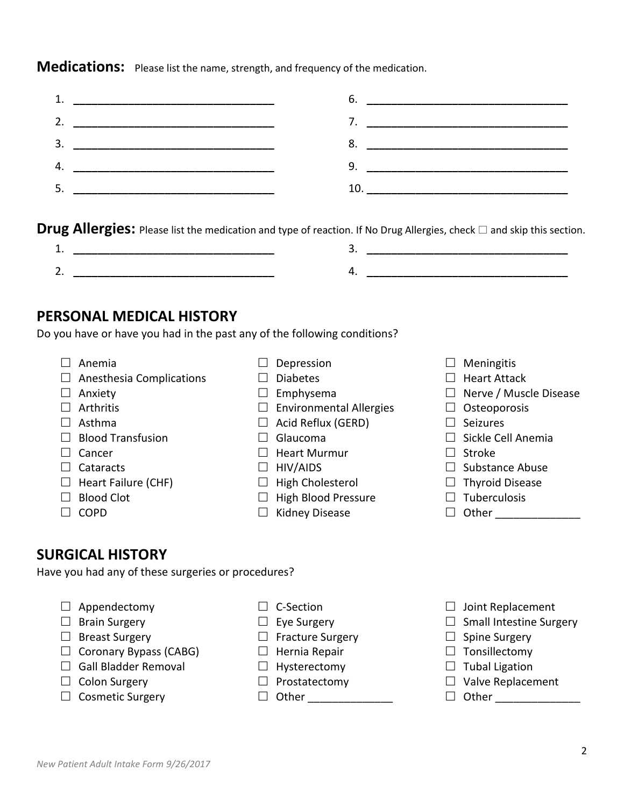*New Patient Adult Intake Form 9/26/2017*

**Medications:** Please list the name, strength, and frequency of the medication.

|                                                     | <u> 1989 - Johann Harry Harry Harry Harry Harry Harry Harry Harry Harry Harry Harry Harry Harry Harry Harry Harry</u> |
|-----------------------------------------------------|-----------------------------------------------------------------------------------------------------------------------|
|                                                     |                                                                                                                       |
|                                                     |                                                                                                                       |
| <u> 1989 - Johann Barbara, martxa alemaniar arg</u> |                                                                                                                       |

**Drug Allergies:** Please list the medication and type of reaction. If No Drug Allergies, check  $\Box$  and skip this section.

### **PERSONAL MEDICAL HISTORY**

Do you have or have you had in the past any of the following conditions?

 $\Box$  Anemia

 $\Box$  Anxiety  $\Box$  Arthritis  $\Box$  Asthma

 $\Box$  Cancer  $\Box$  Cataracts

 $\Box$  COPD

 $\Box$  Anesthesia Complications

 $\Box$  Blood Transfusion

 $\Box$  Heart Failure (CHF)

- $\square$  Depression
- $\square$  Diabetes
- $\square$  Emphysema
- $\Box$  Environmental Allergies
- $\Box$  Acid Reflux (GERD)
- $\Box$  Glaucoma
- $\Box$  Heart Murmur
- $\Box$  HIV/AIDS
- $\Box$  High Cholesterol
- $\Box$  High Blood Pressure
- $\Box$  Kidney Disease
- $\square$  Meningitis
- $\Box$  Heart Attack
- $\Box$  Nerve / Muscle Disease
- $\Box$  Osteoporosis
- $\Box$  Seizures
- $\Box$  Sickle Cell Anemia
- $\Box$  Stroke
- $\Box$  Substance Abuse
- $\Box$  Thyroid Disease
- $\Box$  Tuberculosis
- $\Box$  Other  $\Box$

## **SURGICAL HISTORY**

 $\Box$  Blood Clot

Have you had any of these surgeries or procedures?

- $\Box$  Appendectomy
- $\Box$  Brain Surgery
- $\Box$  Breast Surgery
- $\Box$  Coronary Bypass (CABG)
- $\Box$  Gall Bladder Removal
- $\Box$  Colon Surgery
- $\Box$  Cosmetic Surgery
- $\Box$  C-Section
- $\square$  Eye Surgery
- $\Box$  Fracture Surgery
- $\Box$  Hernia Repair
- $\Box$  Hysterectomy
- $\Box$  Prostatectomy
- □ Other \_\_\_\_\_\_\_\_\_\_\_\_\_\_\_\_\_\_\_
- $\Box$  Joint Replacement
- $\Box$  Small Intestine Surgery
- $\Box$  Spine Surgery
- $\Box$  Tonsillectomy
- $\Box$  Tubal Ligation
- $\Box$  Valve Replacement
- Other \_\_\_\_\_\_\_\_\_\_\_\_\_\_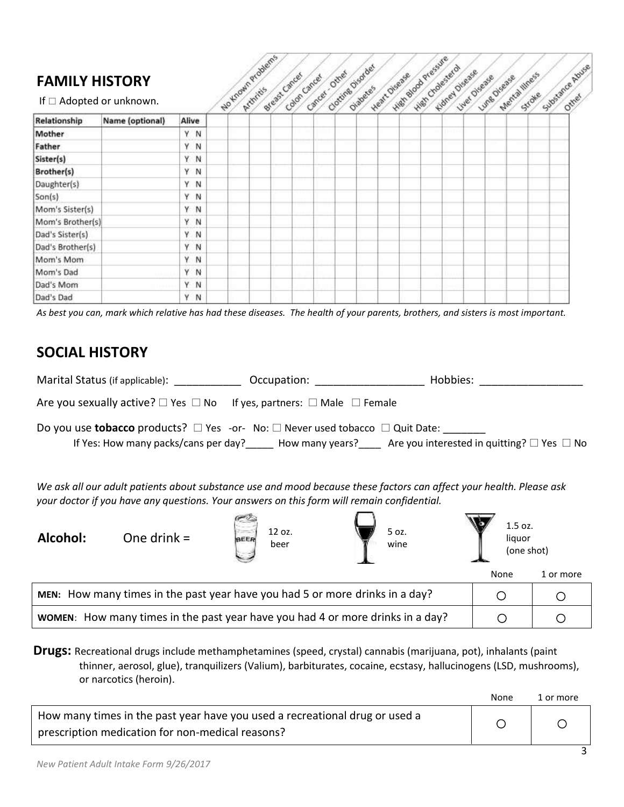## **FAMILY HISTORY**

| <b>FAMILY HISTORY</b><br>If $\Box$ Adopted or unknown. |                 |         | No Known Problems | Breast Cancer | Calon cancer | Carcel Other | Clottine Displace<br>Olabete <sup>5</sup> | Heat Orease | High slow pressire<br>High Chalenera | Kimer Disease | Lye Digase Digase alliness |  | Stroke <sub>Substance Abuse</sub> |
|--------------------------------------------------------|-----------------|---------|-------------------|---------------|--------------|--------------|-------------------------------------------|-------------|--------------------------------------|---------------|----------------------------|--|-----------------------------------|
| Relationship                                           | Name (optional) | Alive   |                   |               |              |              |                                           |             |                                      |               |                            |  |                                   |
| Mother                                                 |                 | Y N     |                   |               |              |              |                                           |             |                                      |               |                            |  |                                   |
| Father                                                 |                 | Y.<br>N |                   |               |              |              |                                           |             |                                      |               |                            |  |                                   |
| Sister(s)                                              |                 | Y.<br>N |                   |               |              |              |                                           |             |                                      |               |                            |  |                                   |
| Brother(s)                                             |                 | Y<br>N  |                   |               |              |              |                                           |             |                                      |               |                            |  |                                   |
| Daughter(s)                                            |                 | Y.<br>N |                   |               |              |              |                                           |             |                                      |               |                            |  |                                   |
| Son(s)                                                 |                 | Y N     |                   |               |              |              |                                           |             |                                      |               |                            |  |                                   |
| Mom's Sister(s)                                        |                 | Y<br>N  |                   |               |              |              |                                           |             |                                      |               |                            |  |                                   |
| Mom's Brother(s)                                       |                 | Ϋ.<br>N |                   |               |              |              |                                           |             |                                      |               |                            |  |                                   |
| Dad's Sister(s)                                        |                 | Y.<br>N |                   |               |              |              |                                           |             |                                      |               |                            |  |                                   |
| Dad's Brother(s)                                       |                 | ٧<br>N  |                   |               |              |              |                                           |             |                                      |               |                            |  |                                   |
| Mom's Mom                                              |                 | Ÿ<br>N  |                   |               |              |              |                                           |             |                                      |               |                            |  |                                   |
| Mom's Dad                                              |                 | ٧<br>N  |                   |               |              |              |                                           |             |                                      |               |                            |  |                                   |
| Dad's Mom                                              |                 | Υ<br>N  |                   |               |              |              |                                           |             |                                      |               |                            |  |                                   |
| Dad's Dad                                              |                 | ٧<br>N  |                   |               |              |              |                                           |             |                                      |               |                            |  |                                   |

*As best you can, mark which relative has had these diseases. The health of your parents, brothers, and sisters is most important.*

## **SOCIAL HISTORY**

| Marital Status (if applicable):                                                                                                                                                                                  |                                                                                                                                                                                                                   | Occupation: and the control of the control of the control of the control of the control of the control of the control of the control of the control of the control of the control of the control of the control of the control | Hobbies: |      |           |  |  |  |  |
|------------------------------------------------------------------------------------------------------------------------------------------------------------------------------------------------------------------|-------------------------------------------------------------------------------------------------------------------------------------------------------------------------------------------------------------------|--------------------------------------------------------------------------------------------------------------------------------------------------------------------------------------------------------------------------------|----------|------|-----------|--|--|--|--|
| Are you sexually active? $\square$ Yes $\square$ No If yes, partners: $\square$ Male $\square$ Female                                                                                                            |                                                                                                                                                                                                                   |                                                                                                                                                                                                                                |          |      |           |  |  |  |  |
| Do you use <b>tobacco</b> products? $\Box$ Yes -or- No: $\Box$ Never used tobacco $\Box$ Quit Date:<br>If Yes: How many packs/cans per day? How many years? Are you interested in quitting? $\Box$ Yes $\Box$ No |                                                                                                                                                                                                                   |                                                                                                                                                                                                                                |          |      |           |  |  |  |  |
|                                                                                                                                                                                                                  | We ask all our adult patients about substance use and mood because these factors can affect your health. Please ask<br>your doctor if you have any questions. Your answers on this form will remain confidential. |                                                                                                                                                                                                                                |          |      |           |  |  |  |  |
| Alcohol:                                                                                                                                                                                                         | 1.5 oz.<br>12 oz.<br>5 oz.<br>One drink =<br>liquor<br>BEER<br>wine<br>beer<br>(one shot)                                                                                                                         |                                                                                                                                                                                                                                |          |      |           |  |  |  |  |
|                                                                                                                                                                                                                  |                                                                                                                                                                                                                   |                                                                                                                                                                                                                                |          | None | 1 or more |  |  |  |  |
| MEN: How many times in the past year have you had 5 or more drinks in a day?<br>◯<br>$\left( \quad \right)$                                                                                                      |                                                                                                                                                                                                                   |                                                                                                                                                                                                                                |          |      |           |  |  |  |  |
|                                                                                                                                                                                                                  | <b>WOMEN:</b> How many times in the past year have you had 4 or more drinks in a day?<br>∩                                                                                                                        |                                                                                                                                                                                                                                |          |      |           |  |  |  |  |
|                                                                                                                                                                                                                  |                                                                                                                                                                                                                   |                                                                                                                                                                                                                                |          |      |           |  |  |  |  |

**Drugs:** Recreational drugs include methamphetamines (speed, crystal) cannabis (marijuana, pot), inhalants (paint thinner, aerosol, glue), tranquilizers (Valium), barbiturates, cocaine, ecstasy, hallucinogens (LSD, mushrooms), or narcotics (heroin).

|                                                                                                                                 | None | 1 or more |
|---------------------------------------------------------------------------------------------------------------------------------|------|-----------|
| How many times in the past year have you used a recreational drug or used a<br>prescription medication for non-medical reasons? |      |           |